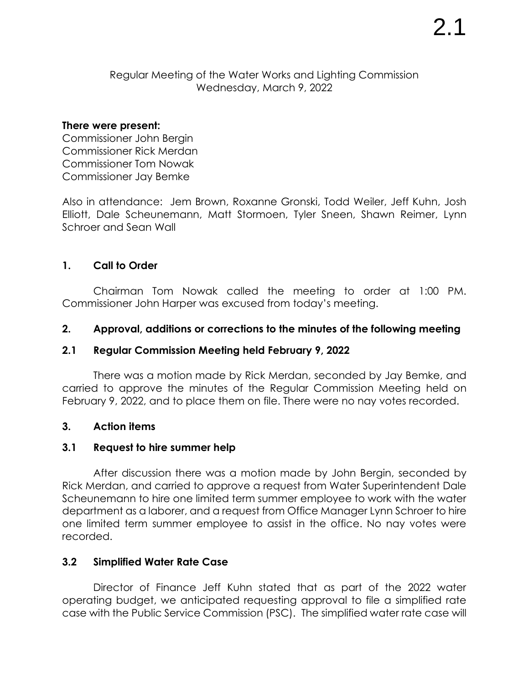### Regular Meeting of the Water Works and Lighting Commission Wednesday, March 9, 2022

#### **There were present:**

Commissioner John Bergin Commissioner Rick Merdan Commissioner Tom Nowak Commissioner Jay Bemke

Also in attendance: Jem Brown, Roxanne Gronski, Todd Weiler, Jeff Kuhn, Josh Elliott, Dale Scheunemann, Matt Stormoen, Tyler Sneen, Shawn Reimer, Lynn Schroer and Sean Wall

## **1. Call to Order**

Chairman Tom Nowak called the meeting to order at 1:00 PM. Commissioner John Harper was excused from today's meeting.

## **2. Approval, additions or corrections to the minutes of the following meeting**

### **2.1 Regular Commission Meeting held February 9, 2022**

There was a motion made by Rick Merdan, seconded by Jay Bemke, and carried to approve the minutes of the Regular Commission Meeting held on February 9, 2022, and to place them on file. There were no nay votes recorded.

# **3. Action items**

### **3.1 Request to hire summer help**

After discussion there was a motion made by John Bergin, seconded by Rick Merdan, and carried to approve a request from Water Superintendent Dale Scheunemann to hire one limited term summer employee to work with the water department as a laborer, and a request from Office Manager Lynn Schroer to hire one limited term summer employee to assist in the office. No nay votes were recorded.

### **3.2 Simplified Water Rate Case**

Director of Finance Jeff Kuhn stated that as part of the 2022 water operating budget, we anticipated requesting approval to file a simplified rate case with the Public Service Commission (PSC). The simplified water rate case will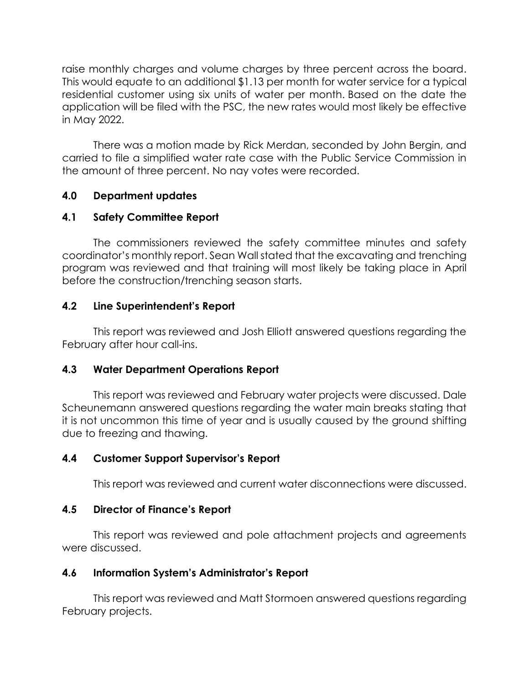raise monthly charges and volume charges by three percent across the board. This would equate to an additional \$1.13 per month for water service for a typical residential customer using six units of water per month. Based on the date the application will be filed with the PSC, the new rates would most likely be effective in May 2022.

There was a motion made by Rick Merdan, seconded by John Bergin, and carried to file a simplified water rate case with the Public Service Commission in the amount of three percent. No nay votes were recorded.

# **4.0 Department updates**

## **4.1 Safety Committee Report**

The commissioners reviewed the safety committee minutes and safety coordinator's monthly report. Sean Wall stated that the excavating and trenching program was reviewed and that training will most likely be taking place in April before the construction/trenching season starts.

## **4.2 Line Superintendent's Report**

This report was reviewed and Josh Elliott answered questions regarding the February after hour call-ins.

# **4.3 Water Department Operations Report**

This report was reviewed and February water projects were discussed. Dale Scheunemann answered questions regarding the water main breaks stating that it is not uncommon this time of year and is usually caused by the ground shifting due to freezing and thawing.

# **4.4 Customer Support Supervisor's Report**

This report was reviewed and current water disconnections were discussed.

# **4.5 Director of Finance's Report**

This report was reviewed and pole attachment projects and agreements were discussed.

### **4.6 Information System's Administrator's Report**

This report was reviewed and Matt Stormoen answered questions regarding February projects.